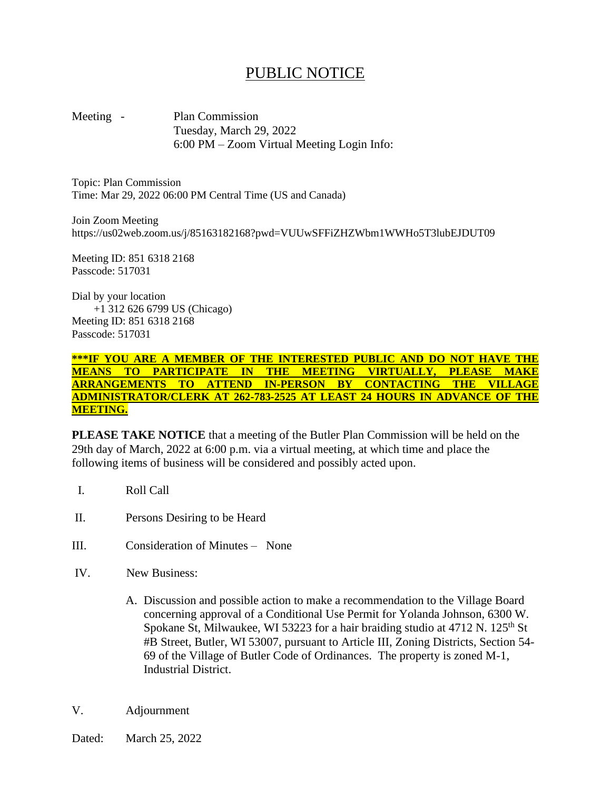## PUBLIC NOTICE

Meeting - Plan Commission Tuesday, March 29, 2022 6:00 PM – Zoom Virtual Meeting Login Info:

Topic: Plan Commission Time: Mar 29, 2022 06:00 PM Central Time (US and Canada)

Join Zoom Meeting https://us02web.zoom.us/j/85163182168?pwd=VUUwSFFiZHZWbm1WWHo5T3lubEJDUT09

Meeting ID: 851 6318 2168 Passcode: 517031

Dial by your location +1 312 626 6799 US (Chicago) Meeting ID: 851 6318 2168 Passcode: 517031

**\*\*\*IF YOU ARE A MEMBER OF THE INTERESTED PUBLIC AND DO NOT HAVE THE MEANS TO PARTICIPATE IN THE MEETING VIRTUALLY, PLEASE MAKE ARRANGEMENTS TO ATTEND IN-PERSON BY CONTACTING THE VILLAGE ADMINISTRATOR/CLERK AT 262-783-2525 AT LEAST 24 HOURS IN ADVANCE OF THE MEETING.**

**PLEASE TAKE NOTICE** that a meeting of the Butler Plan Commission will be held on the 29th day of March, 2022 at 6:00 p.m. via a virtual meeting, at which time and place the following items of business will be considered and possibly acted upon.

- I. Roll Call
- II. Persons Desiring to be Heard
- III. Consideration of Minutes None
- IV. New Business:
	- A. Discussion and possible action to make a recommendation to the Village Board concerning approval of a Conditional Use Permit for Yolanda Johnson, 6300 W. Spokane St, Milwaukee, WI 53223 for a hair braiding studio at  $4712$  N.  $125<sup>th</sup>$  St #B Street, Butler, WI 53007, pursuant to Article III, Zoning Districts, Section 54- 69 of the Village of Butler Code of Ordinances. The property is zoned M-1, Industrial District.
- V. Adjournment
- Dated: March 25, 2022